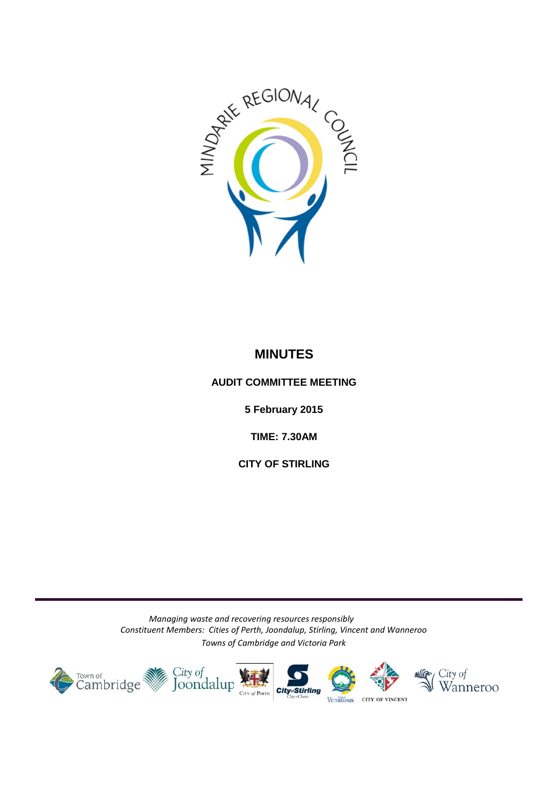

### **MINUTES**

#### <span id="page-0-0"></span>**AUDIT COMMITTEE MEETING**

**5 February 2015**

**TIME: 7.30AM** 

**CITY OF STIRLING**

*Managing waste and recovering resources responsibly Constituent Members: Cities of Perth, Joondalup, Stirling, Vincent and Wanneroo Towns of Cambridge and Victoria Park*

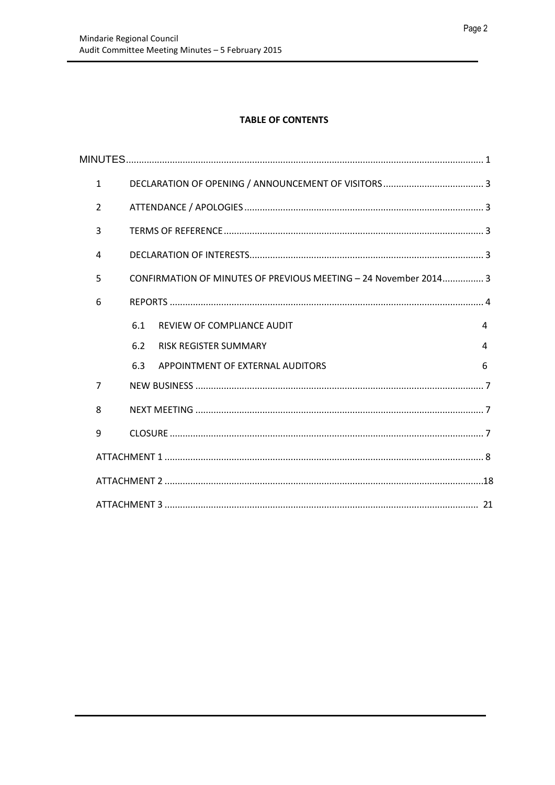#### **TABLE OF CONTENTS**

| $\mathbf{1}$   |     |                                                                  |   |  |  |
|----------------|-----|------------------------------------------------------------------|---|--|--|
| $\overline{2}$ |     |                                                                  |   |  |  |
| 3              |     |                                                                  |   |  |  |
| 4              |     |                                                                  |   |  |  |
| 5              |     | CONFIRMATION OF MINUTES OF PREVIOUS MEETING - 24 November 2014 3 |   |  |  |
| 6              |     |                                                                  |   |  |  |
|                | 6.1 | REVIEW OF COMPLIANCE AUDIT                                       | 4 |  |  |
|                | 6.2 | <b>RISK REGISTER SUMMARY</b>                                     | 4 |  |  |
|                | 6.3 | APPOINTMENT OF EXTERNAL AUDITORS                                 | 6 |  |  |
| $\overline{7}$ |     |                                                                  |   |  |  |
| 8              |     |                                                                  |   |  |  |
| 9              |     |                                                                  |   |  |  |
|                |     |                                                                  |   |  |  |
|                |     |                                                                  |   |  |  |
|                |     |                                                                  |   |  |  |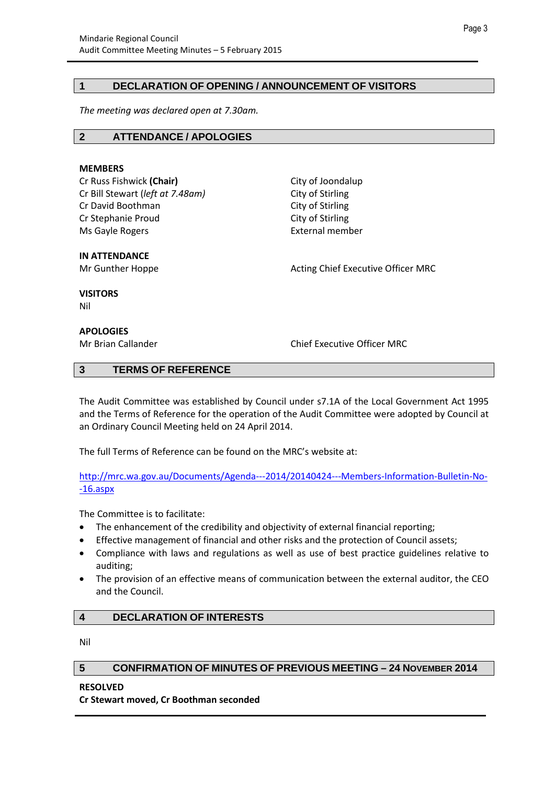#### <span id="page-2-0"></span>**1 DECLARATION OF OPENING / ANNOUNCEMENT OF VISITORS**

*The meeting was declared open at 7.30am.*

#### <span id="page-2-1"></span>**2 ATTENDANCE / APOLOGIES**

#### **MEMBERS**

Cr Russ Fishwick (Chair) **City of Joondalup** Cr Bill Stewart (*left at 7.48am*) City of Stirling Cr David Boothman City of Stirling Cr Stephanie Proud City of Stirling Ms Gayle Rogers **External member** 

**IN ATTENDANCE**

Mr Gunther Hoppe **Acting Chief Executive Officer MRC** Acting Chief Executive Officer MRC

**VISITORS**

Nil

#### **APOLOGIES**

Mr Brian Callander Chief Executive Officer MRC

#### <span id="page-2-2"></span>**3 TERMS OF REFERENCE**

The Audit Committee was established by Council under s7.1A of the Local Government Act 1995 and the Terms of Reference for the operation of the Audit Committee were adopted by Council at an Ordinary Council Meeting held on 24 April 2014.

The full Terms of Reference can be found on the MRC's website at:

[http://mrc.wa.gov.au/Documents/Agenda---2014/20140424---Members-Information-Bulletin-No-](http://mrc.wa.gov.au/Documents/Agenda---2014/20140424---Members-Information-Bulletin-No--16.aspx) [-16.aspx](http://mrc.wa.gov.au/Documents/Agenda---2014/20140424---Members-Information-Bulletin-No--16.aspx)

The Committee is to facilitate:

- The enhancement of the credibility and objectivity of external financial reporting;
- Effective management of financial and other risks and the protection of Council assets;
- Compliance with laws and regulations as well as use of best practice guidelines relative to auditing;
- The provision of an effective means of communication between the external auditor, the CEO and the Council.

#### <span id="page-2-3"></span>**4 DECLARATION OF INTERESTS**

Nil

#### <span id="page-2-4"></span>**5 CONFIRMATION OF MINUTES OF PREVIOUS MEETING – 24 NOVEMBER 2014**

**RESOLVED**

**Cr Stewart moved, Cr Boothman seconded**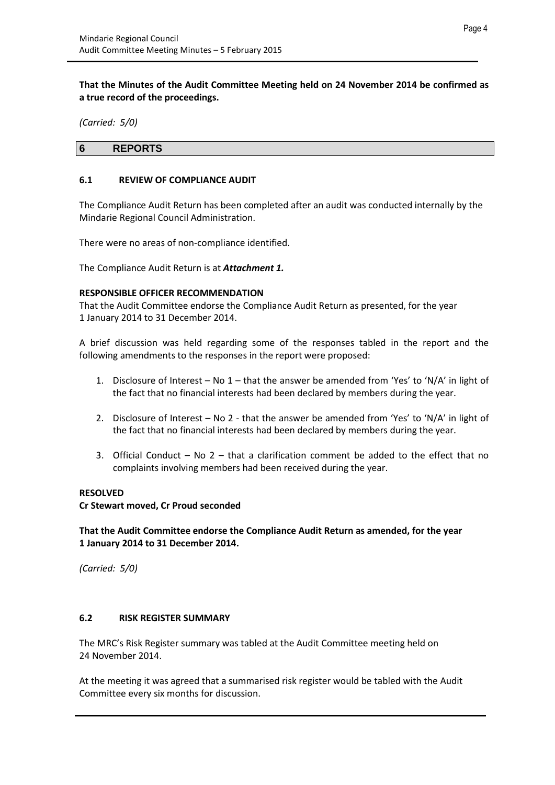**That the Minutes of the Audit Committee Meeting held on 24 November 2014 be confirmed as a true record of the proceedings.**

*(Carried: 5/0)*

#### <span id="page-3-0"></span>**6 REPORTS**

#### <span id="page-3-1"></span>**6.1 REVIEW OF COMPLIANCE AUDIT**

The Compliance Audit Return has been completed after an audit was conducted internally by the Mindarie Regional Council Administration.

There were no areas of non-compliance identified.

The Compliance Audit Return is at *Attachment 1.*

#### **RESPONSIBLE OFFICER RECOMMENDATION**

That the Audit Committee endorse the Compliance Audit Return as presented, for the year 1 January 2014 to 31 December 2014.

A brief discussion was held regarding some of the responses tabled in the report and the following amendments to the responses in the report were proposed:

- 1. Disclosure of Interest No  $1$  that the answer be amended from 'Yes' to 'N/A' in light of the fact that no financial interests had been declared by members during the year.
- 2. Disclosure of Interest No 2 that the answer be amended from 'Yes' to 'N/A' in light of the fact that no financial interests had been declared by members during the year.
- 3. Official Conduct No 2 that a clarification comment be added to the effect that no complaints involving members had been received during the year.

#### **RESOLVED**

**Cr Stewart moved, Cr Proud seconded**

**That the Audit Committee endorse the Compliance Audit Return as amended, for the year 1 January 2014 to 31 December 2014.** 

*(Carried: 5/0)*

#### <span id="page-3-2"></span>**6.2 RISK REGISTER SUMMARY**

The MRC's Risk Register summary was tabled at the Audit Committee meeting held on 24 November 2014.

At the meeting it was agreed that a summarised risk register would be tabled with the Audit Committee every six months for discussion.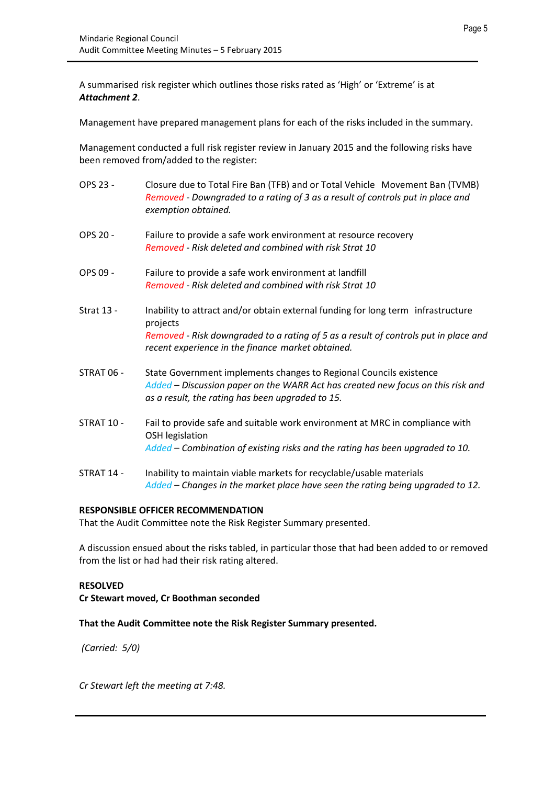A summarised risk register which outlines those risks rated as 'High' or 'Extreme' is at *Attachment 2*.

Management have prepared management plans for each of the risks included in the summary.

Management conducted a full risk register review in January 2015 and the following risks have been removed from/added to the register:

- OPS 23 Closure due to Total Fire Ban (TFB) and or Total Vehicle Movement Ban (TVMB) *Removed - Downgraded to a rating of 3 as a result of controls put in place and exemption obtained.*
- OPS 20 Failure to provide a safe work environment at resource recovery *Removed - Risk deleted and combined with risk Strat 10*
- OPS 09 Failure to provide a safe work environment at landfill *Removed - Risk deleted and combined with risk Strat 10*
- Strat 13 Inability to attract and/or obtain external funding for long term infrastructure projects *Removed - Risk downgraded to a rating of 5 as a result of controls put in place and recent experience in the finance market obtained.*
- STRAT 06 State Government implements changes to Regional Councils existence *Added – Discussion paper on the WARR Act has created new focus on this risk and as a result, the rating has been upgraded to 15.*
- STRAT 10 Fail to provide safe and suitable work environment at MRC in compliance with OSH legislation *Added – Combination of existing risks and the rating has been upgraded to 10.*
- STRAT 14 Inability to maintain viable markets for recyclable/usable materials *Added – Changes in the market place have seen the rating being upgraded to 12.*

#### **RESPONSIBLE OFFICER RECOMMENDATION**

That the Audit Committee note the Risk Register Summary presented.

A discussion ensued about the risks tabled, in particular those that had been added to or removed from the list or had had their risk rating altered.

#### **RESOLVED**

**Cr Stewart moved, Cr Boothman seconded**

#### **That the Audit Committee note the Risk Register Summary presented.**

*(Carried: 5/0)*

*Cr Stewart left the meeting at 7:48.*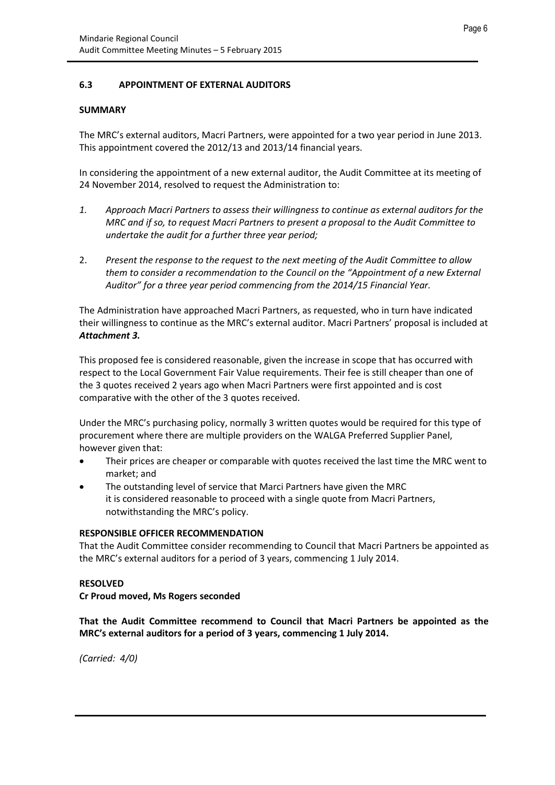#### <span id="page-5-0"></span>**6.3 APPOINTMENT OF EXTERNAL AUDITORS**

#### **SUMMARY**

The MRC's external auditors, Macri Partners, were appointed for a two year period in June 2013. This appointment covered the 2012/13 and 2013/14 financial years.

In considering the appointment of a new external auditor, the Audit Committee at its meeting of 24 November 2014, resolved to request the Administration to:

- *1. Approach Macri Partners to assess their willingness to continue as external auditors for the MRC and if so, to request Macri Partners to present a proposal to the Audit Committee to undertake the audit for a further three year period;*
- 2. *Present the response to the request to the next meeting of the Audit Committee to allow them to consider a recommendation to the Council on the "Appointment of a new External Auditor" for a three year period commencing from the 2014/15 Financial Year.*

The Administration have approached Macri Partners, as requested, who in turn have indicated their willingness to continue as the MRC's external auditor. Macri Partners' proposal is included at *Attachment 3.*

This proposed fee is considered reasonable, given the increase in scope that has occurred with respect to the Local Government Fair Value requirements. Their fee is still cheaper than one of the 3 quotes received 2 years ago when Macri Partners were first appointed and is cost comparative with the other of the 3 quotes received.

Under the MRC's purchasing policy, normally 3 written quotes would be required for this type of procurement where there are multiple providers on the WALGA Preferred Supplier Panel, however given that:

- Their prices are cheaper or comparable with quotes received the last time the MRC went to market; and
- The outstanding level of service that Marci Partners have given the MRC it is considered reasonable to proceed with a single quote from Macri Partners, notwithstanding the MRC's policy.

#### **RESPONSIBLE OFFICER RECOMMENDATION**

That the Audit Committee consider recommending to Council that Macri Partners be appointed as the MRC's external auditors for a period of 3 years, commencing 1 July 2014.

#### **RESOLVED**

#### **Cr Proud moved, Ms Rogers seconded**

**That the Audit Committee recommend to Council that Macri Partners be appointed as the MRC's external auditors for a period of 3 years, commencing 1 July 2014.**

*(Carried: 4/0)*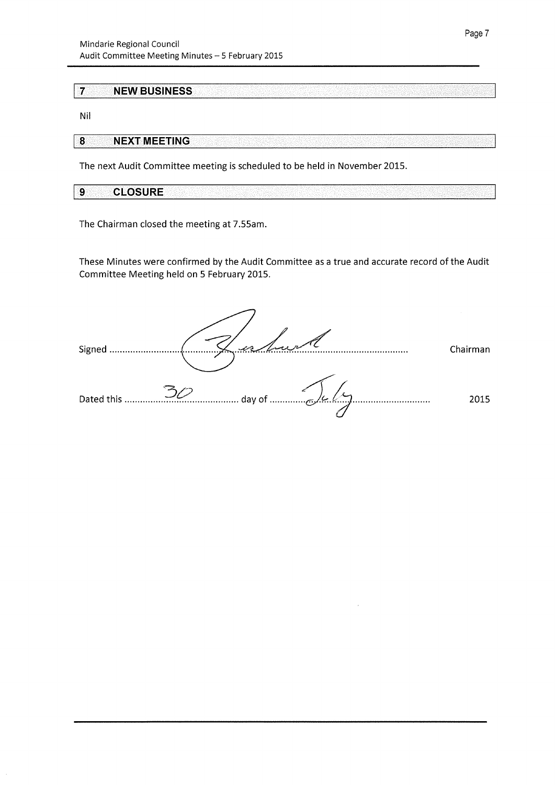#### $\overline{7}$ **NEW BUSINESS**

Nil

#### $\overline{\mathbf{8}}$ **NEXT MEETING**

The next Audit Committee meeting is scheduled to be held in November 2015.

| <b>CLOSUDE</b><br>$\sim$<br>. W 1<br>- 6 E O I |  |
|------------------------------------------------|--|

The Chairman closed the meeting at 7.55am.

These Minutes were confirmed by the Audit Committee as a true and accurate record of the Audit Committee Meeting held on 5 February 2015.

Signed ..................... an Sara Chairman Dated this ........... 2015 <u>برا برا</u> day of ....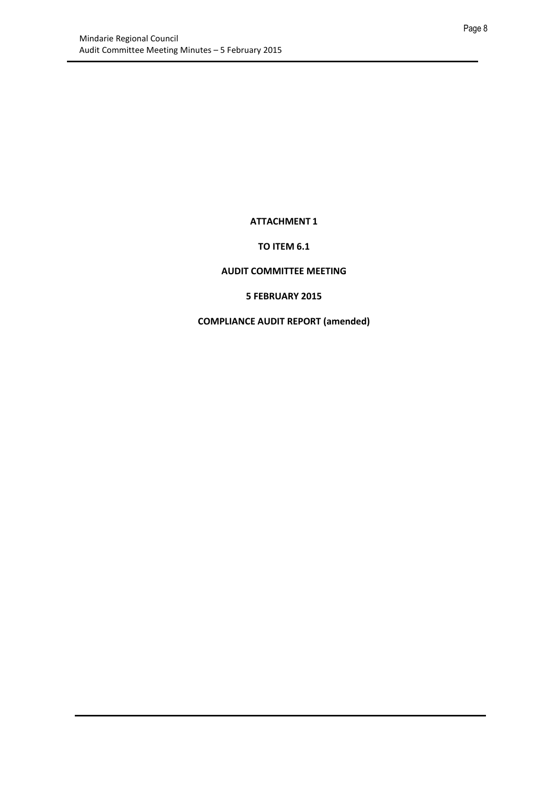#### **ATTACHMENT 1**

#### **TO ITEM 6.1**

#### <span id="page-7-0"></span>**AUDIT COMMITTEE MEETING**

#### **5 FEBRUARY 2015**

#### **COMPLIANCE AUDIT REPORT (amended)**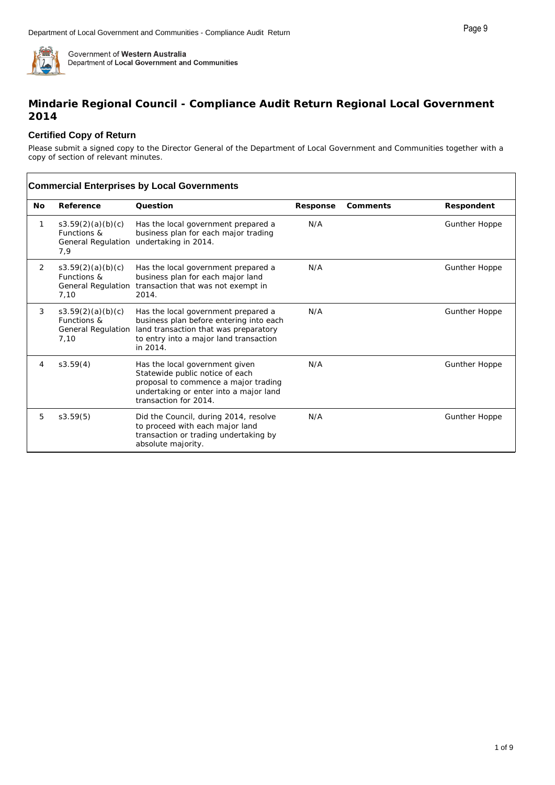#### **Mindarie Regional Council - Compliance Audit Return Regional Local Government 2014**

#### **Certified Copy of Return**

Please submit a signed copy to the Director General of the Department of Local Government and Communities together with a copy of section of relevant minutes.

|                | <b>Commercial Enterprises by Local Governments</b>             |                                                                                                                                                                               |          |          |                      |  |
|----------------|----------------------------------------------------------------|-------------------------------------------------------------------------------------------------------------------------------------------------------------------------------|----------|----------|----------------------|--|
| <b>No</b>      | Reference                                                      | Ouestion                                                                                                                                                                      | Response | Comments | Respondent           |  |
| 1              | s3.59(2)(a)(b)(c)<br>Functions &<br>General Regulation<br>7,9  | Has the local government prepared a<br>business plan for each major trading<br>undertaking in 2014.                                                                           | N/A      |          | <b>Gunther Hoppe</b> |  |
| $\overline{2}$ | s3.59(2)(a)(b)(c)<br>Functions &<br>General Regulation<br>7,10 | Has the local government prepared a<br>business plan for each major land<br>transaction that was not exempt in<br>2014.                                                       | N/A      |          | <b>Gunther Hoppe</b> |  |
| 3              | s3.59(2)(a)(b)(c)<br>Functions &<br>General Regulation<br>7,10 | Has the local government prepared a<br>business plan before entering into each<br>land transaction that was preparatory<br>to entry into a major land transaction<br>in 2014. | N/A      |          | <b>Gunther Hoppe</b> |  |
| 4              | s3.59(4)                                                       | Has the local government given<br>Statewide public notice of each<br>proposal to commence a major trading<br>undertaking or enter into a major land<br>transaction for 2014.  | N/A      |          | <b>Gunther Hoppe</b> |  |
| 5              | s3.59(5)                                                       | Did the Council, during 2014, resolve<br>to proceed with each major land<br>transaction or trading undertaking by<br>absolute majority.                                       | N/A      |          | <b>Gunther Hoppe</b> |  |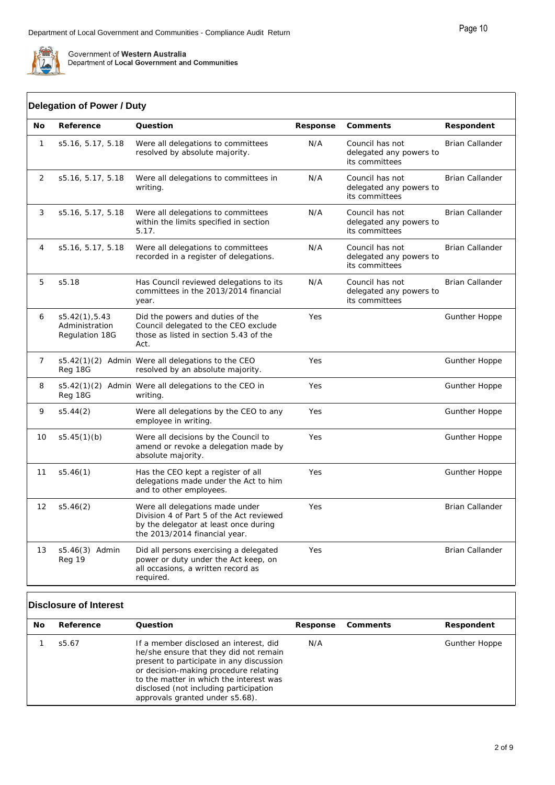

ſ

Government of Western Australia<br>Department of Local Government and Communities

| No             | Reference                                          | Question                                                                                                                                              | Response | Comments                                                     | Respondent             |
|----------------|----------------------------------------------------|-------------------------------------------------------------------------------------------------------------------------------------------------------|----------|--------------------------------------------------------------|------------------------|
| $\mathbf{1}$   | s5.16, 5.17, 5.18                                  | Were all delegations to committees<br>resolved by absolute majority.                                                                                  | N/A      | Council has not<br>delegated any powers to<br>its committees | <b>Brian Callander</b> |
| 2              | s5.16, 5.17, 5.18                                  | Were all delegations to committees in<br>writing.                                                                                                     | N/A      | Council has not<br>delegated any powers to<br>its committees | <b>Brian Callander</b> |
| 3              | s5.16, 5.17, 5.18                                  | Were all delegations to committees<br>within the limits specified in section<br>5.17.                                                                 | N/A      | Council has not<br>delegated any powers to<br>its committees | Brian Callander        |
| 4              | s5.16, 5.17, 5.18                                  | Were all delegations to committees<br>recorded in a register of delegations.                                                                          | N/A      | Council has not<br>delegated any powers to<br>its committees | Brian Callander        |
| 5              | s5.18                                              | Has Council reviewed delegations to its<br>committees in the 2013/2014 financial<br>year.                                                             | N/A      | Council has not<br>delegated any powers to<br>its committees | <b>Brian Callander</b> |
| 6              | s5.42(1), 5.43<br>Administration<br>Regulation 18G | Did the powers and duties of the<br>Council delegated to the CEO exclude<br>those as listed in section 5.43 of the<br>Act.                            | Yes      |                                                              | <b>Gunther Hoppe</b>   |
| $\overline{7}$ | Reg 18G                                            | s5.42(1)(2) Admin Were all delegations to the CEO<br>resolved by an absolute majority.                                                                | Yes      |                                                              | Gunther Hoppe          |
| 8              | Reg 18G                                            | s5.42(1)(2) Admin Were all delegations to the CEO in<br>writing.                                                                                      | Yes      |                                                              | <b>Gunther Hoppe</b>   |
| 9              | s5.44(2)                                           | Were all delegations by the CEO to any<br>employee in writing.                                                                                        | Yes      |                                                              | Gunther Hoppe          |
| 10             | s5.45(1)(b)                                        | Were all decisions by the Council to<br>amend or revoke a delegation made by<br>absolute majority.                                                    | Yes      |                                                              | Gunther Hoppe          |
| 11             | s5.46(1)                                           | Has the CEO kept a register of all<br>delegations made under the Act to him<br>and to other employees.                                                | Yes      |                                                              | Gunther Hoppe          |
| 12             | s5.46(2)                                           | Were all delegations made under<br>Division 4 of Part 5 of the Act reviewed<br>by the delegator at least once during<br>the 2013/2014 financial year. | Yes      |                                                              | <b>Brian Callander</b> |
| 13             | s5.46(3) Admin<br>Reg 19                           | Did all persons exercising a delegated<br>power or duty under the Act keep, on<br>all occasions, a written record as<br>required.                     | Yes      |                                                              | Brian Callander        |

#### **Disclosure of Interest**

| No | Reference | Ouestion                                                                                                                                                                                                                                                                                      | Response | Comments | Respondent           |
|----|-----------|-----------------------------------------------------------------------------------------------------------------------------------------------------------------------------------------------------------------------------------------------------------------------------------------------|----------|----------|----------------------|
|    | s5.67     | If a member disclosed an interest, did<br>he/she ensure that they did not remain<br>present to participate in any discussion<br>or decision-making procedure relating<br>to the matter in which the interest was<br>disclosed (not including participation<br>approvals granted under s5.68). | N/A      |          | <b>Gunther Hoppe</b> |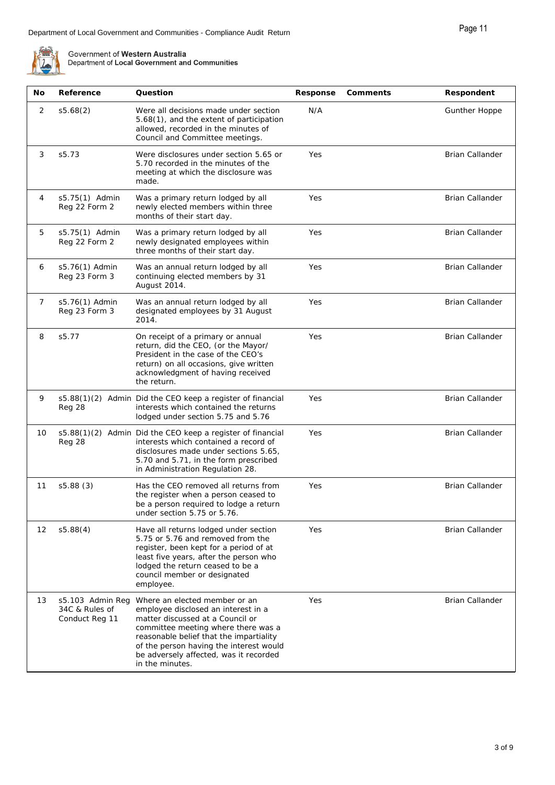| No             | Reference                                            | Question                                                                                                                                                                                                                                                                                           | Response | Comments | Respondent             |
|----------------|------------------------------------------------------|----------------------------------------------------------------------------------------------------------------------------------------------------------------------------------------------------------------------------------------------------------------------------------------------------|----------|----------|------------------------|
| 2              | s5.68(2)                                             | Were all decisions made under section<br>5.68(1), and the extent of participation<br>allowed, recorded in the minutes of<br>Council and Committee meetings.                                                                                                                                        | N/A      |          | Gunther Hoppe          |
| 3              | s5.73                                                | Were disclosures under section 5.65 or<br>5.70 recorded in the minutes of the<br>meeting at which the disclosure was<br>made.                                                                                                                                                                      | Yes      |          | <b>Brian Callander</b> |
| 4              | s5.75(1) Admin<br>Reg 22 Form 2                      | Was a primary return lodged by all<br>newly elected members within three<br>months of their start day.                                                                                                                                                                                             | Yes      |          | <b>Brian Callander</b> |
| 5              | s5.75(1) Admin<br>Reg 22 Form 2                      | Was a primary return lodged by all<br>newly designated employees within<br>three months of their start day.                                                                                                                                                                                        | Yes      |          | <b>Brian Callander</b> |
| 6              | s5.76(1) Admin<br>Reg 23 Form 3                      | Was an annual return lodged by all<br>continuing elected members by 31<br>August 2014.                                                                                                                                                                                                             | Yes      |          | <b>Brian Callander</b> |
| $\overline{7}$ | s5.76(1) Admin<br>Reg 23 Form 3                      | Was an annual return lodged by all<br>designated employees by 31 August<br>2014.                                                                                                                                                                                                                   | Yes      |          | <b>Brian Callander</b> |
| 8              | s5.77                                                | On receipt of a primary or annual<br>return, did the CEO, (or the Mayor/<br>President in the case of the CEO's<br>return) on all occasions, give written<br>acknowledgment of having received<br>the return.                                                                                       | Yes      |          | <b>Brian Callander</b> |
| 9              | Reg 28                                               | s5.88(1)(2) Admin Did the CEO keep a register of financial<br>interests which contained the returns<br>lodged under section 5.75 and 5.76                                                                                                                                                          | Yes      |          | <b>Brian Callander</b> |
| 10             | Reg 28                                               | s5.88(1)(2) Admin Did the CEO keep a register of financial<br>interests which contained a record of<br>disclosures made under sections 5.65.<br>5.70 and 5.71, in the form prescribed<br>in Administration Regulation 28.                                                                          | Yes      |          | <b>Brian Callander</b> |
| 11             | s5.88(3)                                             | Has the CEO removed all returns from<br>the register when a person ceased to<br>be a person required to lodge a return<br>under section 5.75 or 5.76.                                                                                                                                              | Yes      |          | <b>Brian Callander</b> |
| 12             | s5.88(4)                                             | Have all returns lodged under section<br>5.75 or 5.76 and removed from the<br>register, been kept for a period of at<br>least five years, after the person who<br>lodged the return ceased to be a<br>council member or designated<br>employee.                                                    | Yes      |          | Brian Callander        |
| 13             | s5.103 Admin Reg<br>34C & Rules of<br>Conduct Reg 11 | Where an elected member or an<br>employee disclosed an interest in a<br>matter discussed at a Council or<br>committee meeting where there was a<br>reasonable belief that the impartiality<br>of the person having the interest would<br>be adversely affected, was it recorded<br>in the minutes. | Yes      |          | Brian Callander        |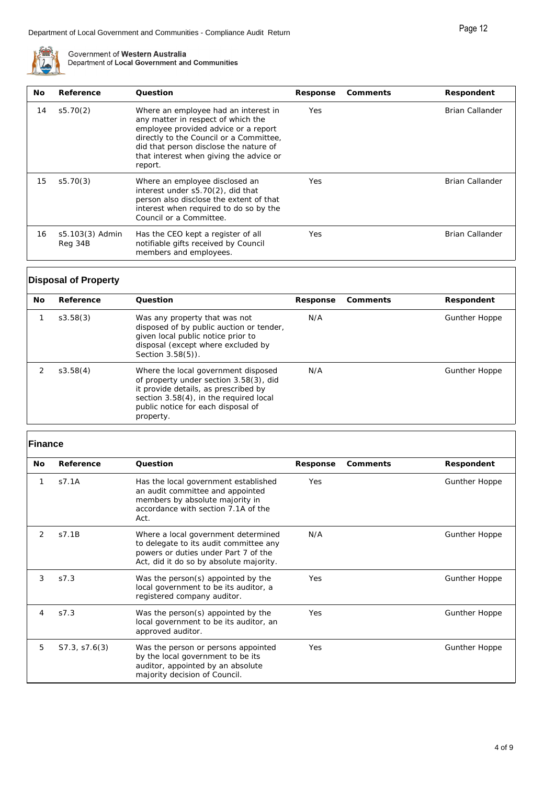

| No. | Reference                  | Ouestion                                                                                                                                                                                                                                                      | Response   | Comments | Respondent             |
|-----|----------------------------|---------------------------------------------------------------------------------------------------------------------------------------------------------------------------------------------------------------------------------------------------------------|------------|----------|------------------------|
| 14  | s5.70(2)                   | Where an employee had an interest in<br>any matter in respect of which the<br>employee provided advice or a report<br>directly to the Council or a Committee,<br>did that person disclose the nature of<br>that interest when giving the advice or<br>report. | Yes        |          | <b>Brian Callander</b> |
| 15  | s5.70(3)                   | Where an employee disclosed an<br>interest under s5.70(2), did that<br>person also disclose the extent of that<br>interest when required to do so by the<br>Council or a Committee.                                                                           | <b>Yes</b> |          | <b>Brian Callander</b> |
| 16  | s5.103(3) Admin<br>Reg 34B | Has the CEO kept a register of all<br>notifiable gifts received by Council<br>members and employees.                                                                                                                                                          | Yes        |          | Brian Callander        |

#### **Disposal of Property**

| No. | Reference | Ouestion                                                                                                                                                                                                           | Response | Comments | Respondent           |
|-----|-----------|--------------------------------------------------------------------------------------------------------------------------------------------------------------------------------------------------------------------|----------|----------|----------------------|
|     | S3.58(3)  | Was any property that was not<br>disposed of by public auction or tender,<br>given local public notice prior to<br>disposal (except where excluded by<br>Section 3.58(5)).                                         | N/A      |          | <b>Gunther Hoppe</b> |
|     | s3.58(4)  | Where the local government disposed<br>of property under section 3.58(3), did<br>it provide details, as prescribed by<br>section 3.58(4), in the required local<br>public notice for each disposal of<br>property. | N/A      |          | <b>Gunther Hoppe</b> |

#### **Finance**

| No             | Reference     | Question                                                                                                                                                         | Response | Comments | Respondent           |
|----------------|---------------|------------------------------------------------------------------------------------------------------------------------------------------------------------------|----------|----------|----------------------|
| 1              | s7.1A         | Has the local government established<br>an audit committee and appointed<br>members by absolute majority in<br>accordance with section 7.1A of the<br>Act.       | Yes      |          | <b>Gunther Hoppe</b> |
| $\mathcal{P}$  | S7.1B         | Where a local government determined<br>to delegate to its audit committee any<br>powers or duties under Part 7 of the<br>Act, did it do so by absolute majority. | N/A      |          | <b>Gunther Hoppe</b> |
| 3              | S7.3          | Was the person(s) appointed by the<br>local government to be its auditor, a<br>registered company auditor.                                                       | Yes      |          | <b>Gunther Hoppe</b> |
| $\overline{4}$ | S7.3          | Was the person(s) appointed by the<br>local government to be its auditor, an<br>approved auditor.                                                                | Yes      |          | <b>Gunther Hoppe</b> |
| 5              | S7.3, S7.6(3) | Was the person or persons appointed<br>by the local government to be its<br>auditor, appointed by an absolute<br>majority decision of Council.                   | Yes      |          | <b>Gunther Hoppe</b> |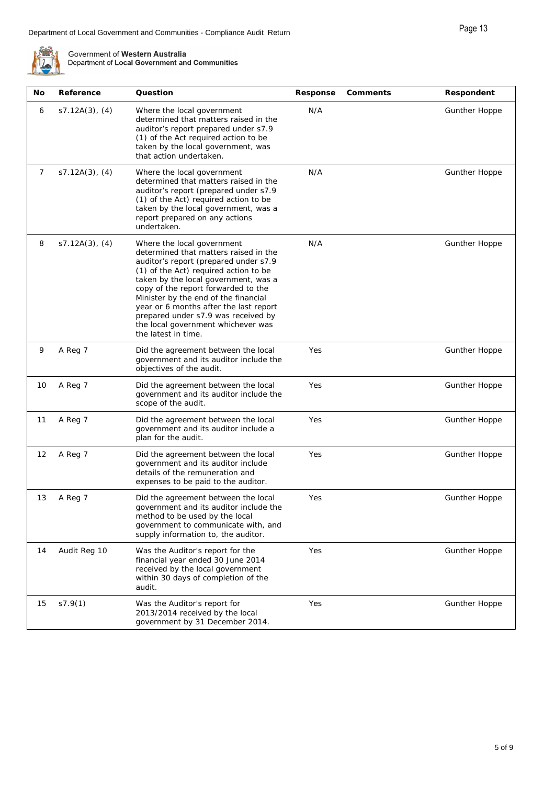| No | Reference         | Question                                                                                                                                                                                                                                                                                                                                                                                                                   | Response | Comments | Respondent           |
|----|-------------------|----------------------------------------------------------------------------------------------------------------------------------------------------------------------------------------------------------------------------------------------------------------------------------------------------------------------------------------------------------------------------------------------------------------------------|----------|----------|----------------------|
| 6  | $s7.12A(3)$ , (4) | Where the local government<br>determined that matters raised in the<br>auditor's report prepared under s7.9<br>(1) of the Act required action to be<br>taken by the local government, was<br>that action undertaken.                                                                                                                                                                                                       | N/A      |          | <b>Gunther Hoppe</b> |
| 7  | $s7.12A(3)$ , (4) | Where the local government<br>determined that matters raised in the<br>auditor's report (prepared under s7.9<br>(1) of the Act) required action to be<br>taken by the local government, was a<br>report prepared on any actions<br>undertaken.                                                                                                                                                                             | N/A      |          | <b>Gunther Hoppe</b> |
| 8  | $s7.12A(3)$ , (4) | Where the local government<br>determined that matters raised in the<br>auditor's report (prepared under s7.9<br>(1) of the Act) required action to be<br>taken by the local government, was a<br>copy of the report forwarded to the<br>Minister by the end of the financial<br>year or 6 months after the last report<br>prepared under s7.9 was received by<br>the local government whichever was<br>the latest in time. | N/A      |          | <b>Gunther Hoppe</b> |
| 9  | A Reg 7           | Did the agreement between the local<br>government and its auditor include the<br>objectives of the audit.                                                                                                                                                                                                                                                                                                                  | Yes      |          | <b>Gunther Hoppe</b> |
| 10 | A Reg 7           | Did the agreement between the local<br>government and its auditor include the<br>scope of the audit.                                                                                                                                                                                                                                                                                                                       | Yes      |          | <b>Gunther Hoppe</b> |
| 11 | A Reg 7           | Did the agreement between the local<br>government and its auditor include a<br>plan for the audit.                                                                                                                                                                                                                                                                                                                         | Yes      |          | <b>Gunther Hoppe</b> |
| 12 | A Reg 7           | Did the agreement between the local<br>government and its auditor include<br>details of the remuneration and<br>expenses to be paid to the auditor.                                                                                                                                                                                                                                                                        | Yes      |          | <b>Gunther Hoppe</b> |
| 13 | A Reg 7           | Did the agreement between the local<br>government and its auditor include the<br>method to be used by the local<br>government to communicate with, and<br>supply information to, the auditor.                                                                                                                                                                                                                              | Yes      |          | <b>Gunther Hoppe</b> |
| 14 | Audit Reg 10      | Was the Auditor's report for the<br>financial year ended 30 June 2014<br>received by the local government<br>within 30 days of completion of the<br>audit.                                                                                                                                                                                                                                                                 | Yes      |          | Gunther Hoppe        |
| 15 | s7.9(1)           | Was the Auditor's report for<br>2013/2014 received by the local<br>government by 31 December 2014.                                                                                                                                                                                                                                                                                                                         | Yes      |          | Gunther Hoppe        |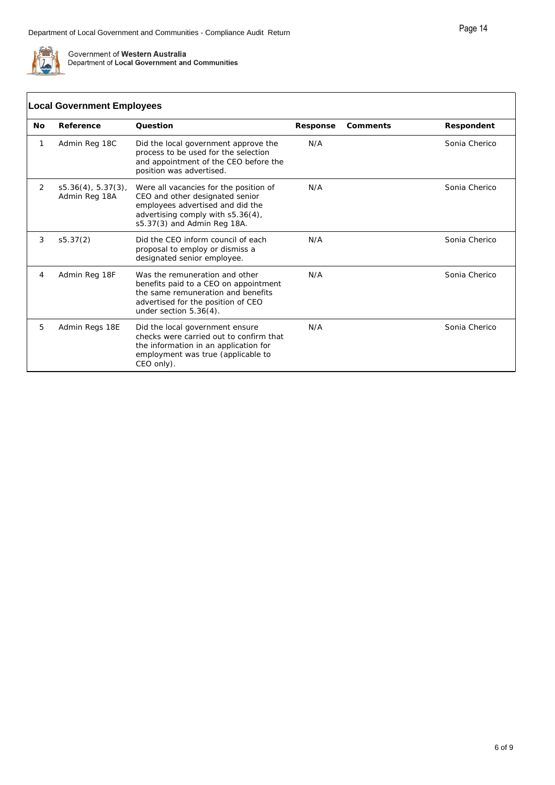

|           | <b>Local Government Employees</b>      |                                                                                                                                                                                   |          |          |               |  |  |
|-----------|----------------------------------------|-----------------------------------------------------------------------------------------------------------------------------------------------------------------------------------|----------|----------|---------------|--|--|
| <b>No</b> | Reference                              | Ouestion                                                                                                                                                                          | Response | Comments | Respondent    |  |  |
| 1         | Admin Reg 18C                          | Did the local government approve the<br>process to be used for the selection<br>and appointment of the CEO before the<br>position was advertised.                                 | N/A      |          | Sonia Cherico |  |  |
| 2         | $s5.36(4), 5.37(3)$ ,<br>Admin Reg 18A | Were all vacancies for the position of<br>CEO and other designated senior<br>employees advertised and did the<br>advertising comply with s5.36(4),<br>s5.37(3) and Admin Reg 18A. | N/A      |          | Sonia Cherico |  |  |
| 3         | s5.37(2)                               | Did the CEO inform council of each<br>proposal to employ or dismiss a<br>designated senior employee.                                                                              | N/A      |          | Sonia Cherico |  |  |
| 4         | Admin Reg 18F                          | Was the remuneration and other<br>benefits paid to a CEO on appointment<br>the same remuneration and benefits<br>advertised for the position of CEO<br>under section $5.36(4)$ .  | N/A      |          | Sonia Cherico |  |  |
| 5         | Admin Regs 18E                         | Did the local government ensure<br>checks were carried out to confirm that<br>the information in an application for<br>employment was true (applicable to<br>CEO only).           | N/A      |          | Sonia Cherico |  |  |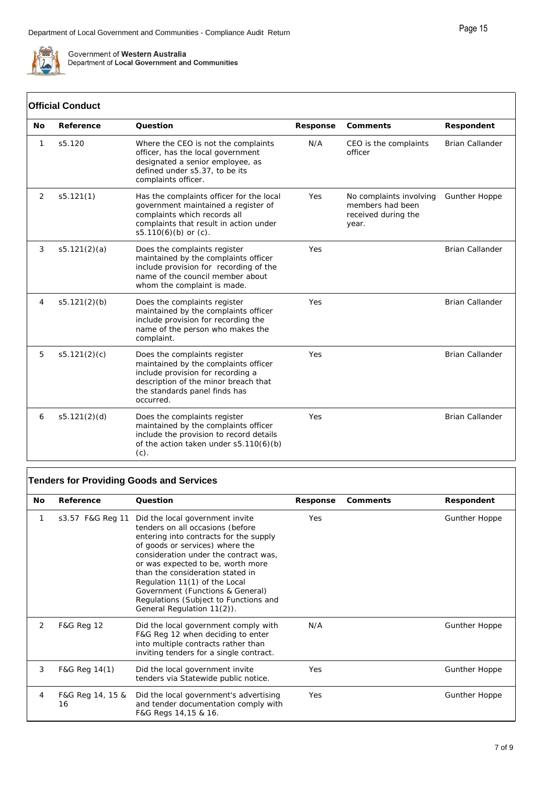

#### **Official Conduct**

| No | Reference    | Ouestion                                                                                                                                                                                        | Response | Comments                                                                    | Respondent             |
|----|--------------|-------------------------------------------------------------------------------------------------------------------------------------------------------------------------------------------------|----------|-----------------------------------------------------------------------------|------------------------|
| 1  | s5.120       | Where the CEO is not the complaints<br>officer, has the local government<br>designated a senior employee, as<br>defined under s5.37, to be its<br>complaints officer.                           | N/A      | CEO is the complaints<br>officer                                            | <b>Brian Callander</b> |
| 2  | s5.121(1)    | Has the complaints officer for the local<br>government maintained a register of<br>complaints which records all<br>complaints that result in action under<br>$s5.110(6)(b)$ or (c).             | Yes      | No complaints involving<br>members had been<br>received during the<br>year. | <b>Gunther Hoppe</b>   |
| 3  | s5.121(2)(a) | Does the complaints register<br>maintained by the complaints officer<br>include provision for recording of the<br>name of the council member about<br>whom the complaint is made.               | Yes      |                                                                             | <b>Brian Callander</b> |
| 4  | s5.121(2)(b) | Does the complaints register<br>maintained by the complaints officer<br>include provision for recording the<br>name of the person who makes the<br>complaint.                                   | Yes      |                                                                             | <b>Brian Callander</b> |
| 5  | s5.121(2)(c) | Does the complaints register<br>maintained by the complaints officer<br>include provision for recording a<br>description of the minor breach that<br>the standards panel finds has<br>occurred. | Yes      |                                                                             | <b>Brian Callander</b> |
| 6  | s5.121(2)(d) | Does the complaints register<br>maintained by the complaints officer<br>include the provision to record details<br>of the action taken under $s5.110(6)(b)$<br>$(c)$ .                          | Yes      |                                                                             | <b>Brian Callander</b> |

### **Tenders for Providing Goods and Services**

| No. | Reference              | Question                                                                                                                                                                                                                                                                                                                                                                                                       | Response | Comments | Respondent           |
|-----|------------------------|----------------------------------------------------------------------------------------------------------------------------------------------------------------------------------------------------------------------------------------------------------------------------------------------------------------------------------------------------------------------------------------------------------------|----------|----------|----------------------|
|     | s3.57 F&G Reg 11       | Did the local government invite<br>tenders on all occasions (before<br>entering into contracts for the supply<br>of goods or services) where the<br>consideration under the contract was,<br>or was expected to be, worth more<br>than the consideration stated in<br>Regulation 11(1) of the Local<br>Government (Functions & General)<br>Regulations (Subject to Functions and<br>General Regulation 11(2)). | Yes      |          | <b>Gunther Hoppe</b> |
| 2   | <b>F&amp;G Reg 12</b>  | Did the local government comply with<br>F&G Reg 12 when deciding to enter<br>into multiple contracts rather than<br>inviting tenders for a single contract.                                                                                                                                                                                                                                                    | N/A      |          | <b>Gunther Hoppe</b> |
| 3   | F&G Reg 14(1)          | Did the local government invite<br>tenders via Statewide public notice.                                                                                                                                                                                                                                                                                                                                        | Yes      |          | <b>Gunther Hoppe</b> |
| 4   | F&G Reg 14, 15 &<br>16 | Did the local government's advertising<br>and tender documentation comply with<br>F&G Regs 14,15 & 16.                                                                                                                                                                                                                                                                                                         | Yes      |          | <b>Gunther Hoppe</b> |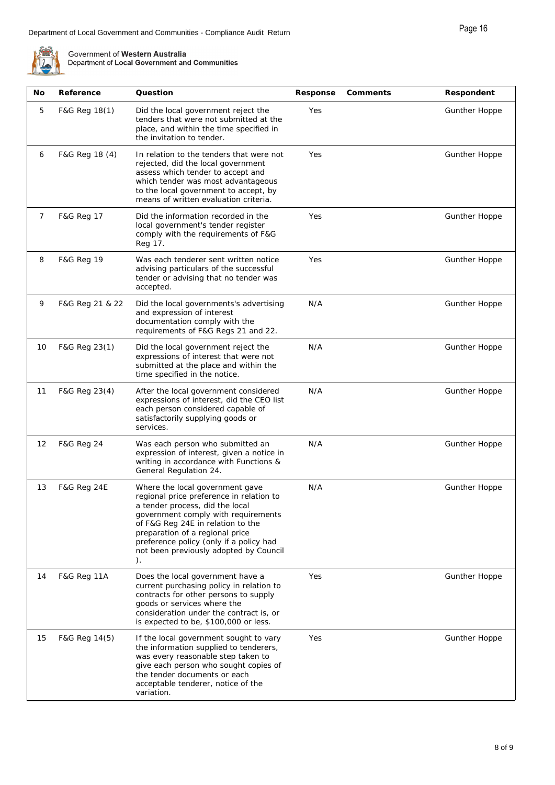

| No | Reference              | Question                                                                                                                                                                                                                                                                                                                 | Response | Comments | Respondent           |
|----|------------------------|--------------------------------------------------------------------------------------------------------------------------------------------------------------------------------------------------------------------------------------------------------------------------------------------------------------------------|----------|----------|----------------------|
| 5  | F&G Reg 18(1)          | Did the local government reject the<br>tenders that were not submitted at the<br>place, and within the time specified in<br>the invitation to tender.                                                                                                                                                                    | Yes      |          | <b>Gunther Hoppe</b> |
| 6  | F&G Reg 18 (4)         | In relation to the tenders that were not<br>rejected, did the local government<br>assess which tender to accept and<br>which tender was most advantageous<br>to the local government to accept, by<br>means of written evaluation criteria.                                                                              | Yes      |          | <b>Gunther Hoppe</b> |
| 7  | F&G Reg 17             | Did the information recorded in the<br>local government's tender register<br>comply with the requirements of F&G<br>Reg 17.                                                                                                                                                                                              | Yes      |          | <b>Gunther Hoppe</b> |
| 8  | <b>F&amp;G Reg 19</b>  | Was each tenderer sent written notice<br>advising particulars of the successful<br>tender or advising that no tender was<br>accepted.                                                                                                                                                                                    | Yes      |          | <b>Gunther Hoppe</b> |
| 9  | F&G Reg 21 & 22        | Did the local governments's advertising<br>and expression of interest<br>documentation comply with the<br>requirements of F&G Regs 21 and 22.                                                                                                                                                                            | N/A      |          | <b>Gunther Hoppe</b> |
| 10 | F&G Reg 23(1)          | Did the local government reject the<br>expressions of interest that were not<br>submitted at the place and within the<br>time specified in the notice.                                                                                                                                                                   | N/A      |          | <b>Gunther Hoppe</b> |
| 11 | F&G Reg 23(4)          | After the local government considered<br>expressions of interest, did the CEO list<br>each person considered capable of<br>satisfactorily supplying goods or<br>services.                                                                                                                                                | N/A      |          | <b>Gunther Hoppe</b> |
| 12 | <b>F&amp;G Reg 24</b>  | Was each person who submitted an<br>expression of interest, given a notice in<br>writing in accordance with Functions &<br>General Regulation 24.                                                                                                                                                                        | N/A      |          | <b>Gunther Hoppe</b> |
| 13 | <b>F&amp;G Reg 24E</b> | Where the local government gave<br>regional price preference in relation to<br>a tender process, did the local<br>government comply with requirements<br>of F&G Reg 24E in relation to the<br>preparation of a regional price<br>preference policy (only if a policy had<br>not been previously adopted by Council<br>). | N/A      |          | <b>Gunther Hoppe</b> |
| 14 | <b>F&amp;G Reg 11A</b> | Does the local government have a<br>current purchasing policy in relation to<br>contracts for other persons to supply<br>goods or services where the<br>consideration under the contract is, or<br>is expected to be, \$100,000 or less.                                                                                 | Yes      |          | <b>Gunther Hoppe</b> |
| 15 | F&G Reg 14(5)          | If the local government sought to vary<br>the information supplied to tenderers,<br>was every reasonable step taken to<br>give each person who sought copies of<br>the tender documents or each<br>acceptable tenderer, notice of the<br>variation.                                                                      | Yes      |          | <b>Gunther Hoppe</b> |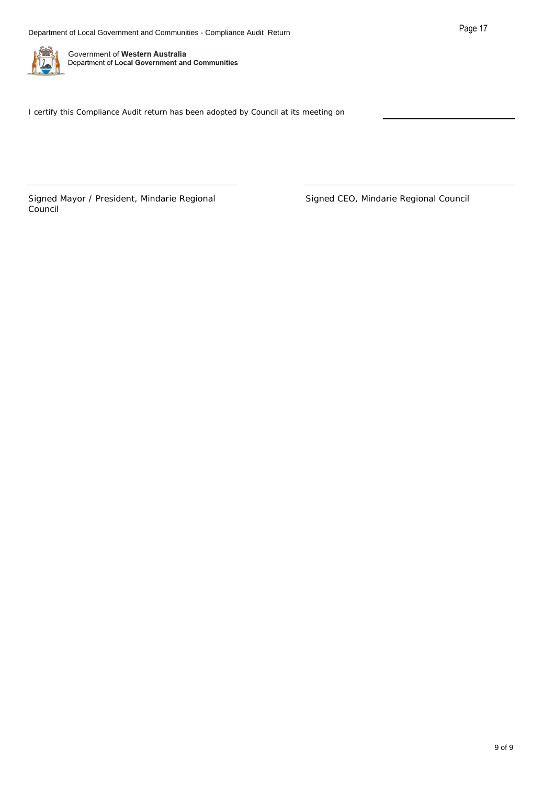

I certify this Compliance Audit return has been adopted by Council at its meeting on

Signed Mayor / President, Mindarie Regional Council

Signed CEO, Mindarie Regional Council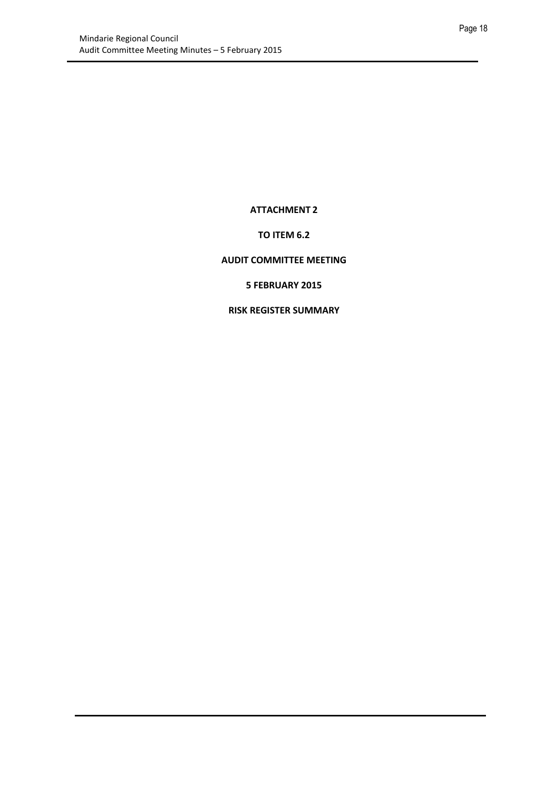**ATTACHMENT 2** 

#### **TO ITEM 6.2**

#### <span id="page-17-0"></span>**AUDIT COMMITTEE MEETING**

#### **5 FEBRUARY 2015**

#### **RISK REGISTER SUMMARY**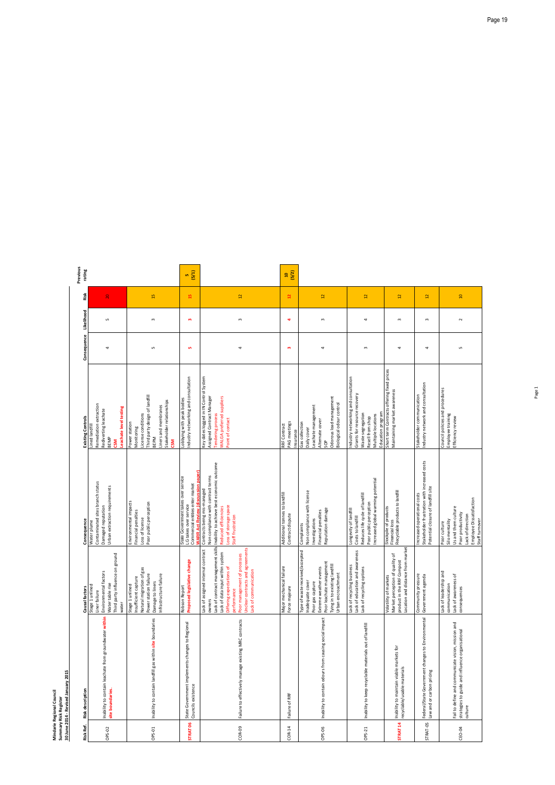## Mindarie Regional Council<br>Summary Risk Register<br>30 June 2014 - Revised January 2015 **30 June 2014 - Revised January 2015 Mindarie Regional Council Summary Risk Register**

| Previous<br>rating<br>Risk | $\overline{20}$                                                                                                           | $\frac{15}{2}$                                                                                                                                                 | (5/1)<br><b>In</b><br>$\mathbf{5}$                                                                         | $\Xi$                                                                                                                                                                                                                                                                       | (5/2)<br>å<br>5                                   | $\overline{12}$                                                                                                                                                                      | $\overline{12}$                                                                                                                              | $\overline{1}$                                                                                                              | $\overline{2}$                                                                                                    |
|----------------------------|---------------------------------------------------------------------------------------------------------------------------|----------------------------------------------------------------------------------------------------------------------------------------------------------------|------------------------------------------------------------------------------------------------------------|-----------------------------------------------------------------------------------------------------------------------------------------------------------------------------------------------------------------------------------------------------------------------------|---------------------------------------------------|--------------------------------------------------------------------------------------------------------------------------------------------------------------------------------------|----------------------------------------------------------------------------------------------------------------------------------------------|-----------------------------------------------------------------------------------------------------------------------------|-------------------------------------------------------------------------------------------------------------------|
| Likelihood                 | S                                                                                                                         | $\mathsf{c}$                                                                                                                                                   | $\mathbf{m}$                                                                                               | $\,$ $\,$                                                                                                                                                                                                                                                                   | 4                                                 | $\,$ $\,$                                                                                                                                                                            | 4                                                                                                                                            | $\,$ $\,$                                                                                                                   | $\mathsf{S}$                                                                                                      |
| Consequence                | 4                                                                                                                         | S                                                                                                                                                              | <b>SC</b>                                                                                                  | 4                                                                                                                                                                                                                                                                           | w                                                 | 4                                                                                                                                                                                    | $\mathsf{m}$                                                                                                                                 | 4                                                                                                                           | 4                                                                                                                 |
|                            |                                                                                                                           |                                                                                                                                                                |                                                                                                            |                                                                                                                                                                                                                                                                             |                                                   |                                                                                                                                                                                      |                                                                                                                                              |                                                                                                                             |                                                                                                                   |
| Existing Controls          | Remediation extraction<br>Leachate level testing<br>Rediverting leachate<br>Lined landfill<br><b>BEMP</b><br>ຮັ           | Third party design of landfill<br>Stakeholder relationships<br>Liners and membranes<br>License conditions<br>Power station<br>Monitoring<br><b>BEPM</b><br>CSM | Industry networking and consultation<br>Lobbying with peak bodies                                          | Key dates logged in IN Control System<br>Assigned Contract Manager<br>WALGA preferred suppliers<br>Tendering process<br>Point of contact                                                                                                                                    | PAG meetings<br>RRF Contract<br>Insurance         | Odorous load management<br>Biological odour control<br>Leachate management<br>Alternate cover<br>Gas collection<br>Daily cover<br>SOP                                                | Industry networking and consultation<br>Grants for resource recovery<br>Waste segregation<br>Multiple locations<br>Resell from shop          | Short term Contracts offering fixed prices<br>Maintaining market awareness<br>Education program                             | Industry network and consultation<br>Stakeholder communication                                                    |
| Consequence                | Contaminated sites branch status<br>Urban extraction requirements<br>Damaged reputation<br>Water plume                    | Environmental impacts<br>Poor public perception<br>Financial penalties<br>Loss of license                                                                      | paper)<br>State Government takes over service<br>Commercial entities enter market<br>LG takes over service | Inability to achieve best economic outcome<br>Non compliance with contract terms<br>Contracts being mis-managed<br>Loss of storage space<br>Reduced efficiencies<br>Staff frustration                                                                                       | Additional tonnes to landfill<br>Contract dispute | Non compliance with license<br>Reputation damage<br>Financial penalties<br>Investigations<br>Complaints                                                                              | Increased global warming potential<br>Reduces life cycle of landfill<br>Poor public perception<br>Longevity of landfill<br>Costs to landfill | Recyclable products to landfill<br>Stockpile of products<br>Financial loss                                                  | Stakeholder frustration with increased costs<br>Potential closure of landfill site<br>Increased operational costs |
| Causal factors             | Third party influence on ground<br>Environmental factors<br>Water table rise<br>Stage 1 unlined<br>Liner failure<br>water | Natural migration of gas<br>Infrastructure failure<br>Power station failure<br>Insufficient capture<br>Damage to liners<br>Stage 1 unlined                     | <b>Proposed legislative change</b><br>Robson Report                                                        | Lack of contract management skills<br>Unclear contracts and agreements<br><b>htract</b><br>Lack of data input within system<br>Poor management of processes<br>Lack of assigned internal cor<br>Differing expectations of<br>Lack of communication<br>performance<br>owners | Major mechanical failure<br>Force majeure         | Type of waste received/accepted<br>Poor leachate management<br>Tying in to existing landfill<br>Extreme weather events<br>Urban encroachment<br>Inadequate cover<br>Poor gas capture | Lack of education and awareness<br>Lack of recycling business<br>Lack of recycling options                                                   | Location and distance from market<br>Market perception of quality of<br>product in the RRF Compost<br>Volatility of markets | Community pressure<br>Government agenda                                                                           |
| <b>Risk description</b>    | Inability to contain leachate from groundwater within<br>site boundaries.                                                 | Inability to contain landfill gas within site boundaries                                                                                                       | State Government implements changes to Regional<br>Councils existence                                      | Failure to effectively manage existing MRC contracts                                                                                                                                                                                                                        | Failure of RRF                                    | Inability to contain odours from causing social impact                                                                                                                               | Inability to keep recyclable materials out of landfill                                                                                       | Inability to maintain viable markets for<br>recyclable/usable materials                                                     | Federal/State Government changes to Environmental<br>Law and or carbon pricing                                    |
| Risk Ref.                  | OPS-02                                                                                                                    | OPS-01                                                                                                                                                         | <b>STRAT 06</b>                                                                                            | COR-09                                                                                                                                                                                                                                                                      | $COR-14$                                          | OPS-06                                                                                                                                                                               | OPS-21                                                                                                                                       | <b>STRAT 14</b>                                                                                                             | <b>STRAT-05</b>                                                                                                   |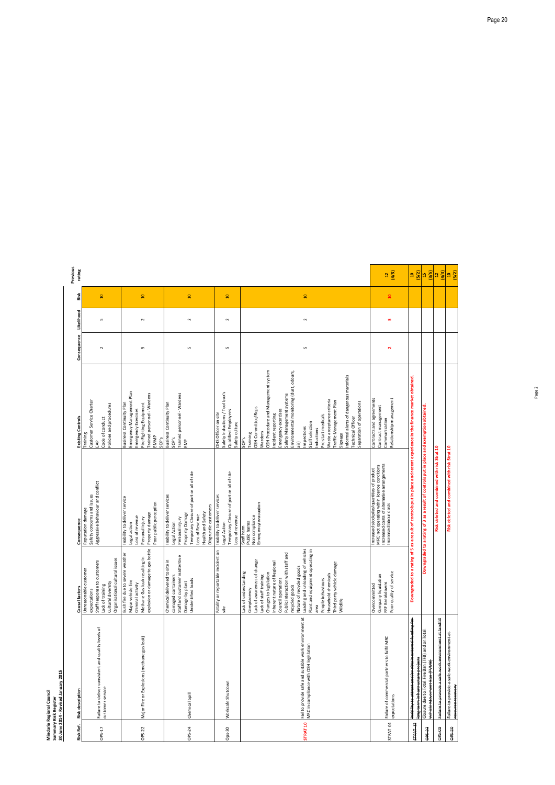# Mindarie Regional Council<br>Summary Risk Register<br>30 June 2014 - Revised January **Mindarie Regional Council Summary Risk Register**

|                       | 1 January 2015   |  |
|-----------------------|------------------|--|
|                       |                  |  |
| and handled a burning | Revised          |  |
|                       |                  |  |
|                       |                  |  |
|                       | 30 June 2014 - I |  |
|                       |                  |  |

| Risk Ref.           | Risk description                                                                                                    | Causal factors                                                                                                                                                                                                                                                                                                                                                                                                                         | Consequence                                                                                                                                                                                     | <b>Existing Controls</b>                                                                                                                                                                                                                                                                                                                                                                                                                                   | Consequence          | Likelihood | Risk            | Previous<br>rating |
|---------------------|---------------------------------------------------------------------------------------------------------------------|----------------------------------------------------------------------------------------------------------------------------------------------------------------------------------------------------------------------------------------------------------------------------------------------------------------------------------------------------------------------------------------------------------------------------------------|-------------------------------------------------------------------------------------------------------------------------------------------------------------------------------------------------|------------------------------------------------------------------------------------------------------------------------------------------------------------------------------------------------------------------------------------------------------------------------------------------------------------------------------------------------------------------------------------------------------------------------------------------------------------|----------------------|------------|-----------------|--------------------|
| OPS-17              | Failure to deliver consistent and quality levels of<br>customer service                                             | Organisational cultural issues<br>Staff response to customers<br>Unreasonable customer<br>Cultural diversity<br>Lack of training<br>expectations                                                                                                                                                                                                                                                                                       | Aggressive behaviour and conflict<br>Safety concerns and issues<br>Reputation damage                                                                                                            | Customer Service Charter<br>Policies and procedures<br>Code of conduct<br>Training<br>EAP                                                                                                                                                                                                                                                                                                                                                                  | $\sim$               | S          | $\overline{a}$  |                    |
| OPS-22              | Major Fire or Explosions (methane gas leak)                                                                         | explosion or damage to gas bottle<br>Bush fire due to severe weather<br>르.<br>Methane Gas leak resulting<br>Major vehicle fire<br>Criminal activity                                                                                                                                                                                                                                                                                    | Inability to deliver service<br>Poor public perception<br>Property damage<br>Loss of revenue<br>Personal injury<br>Legal action                                                                 | Emergency Management Plan<br>Trained personnel - Wardens<br>Business Continuity Plan<br>Fire Fighting Equipment<br>Emergency Exercises<br>EMMP<br>SOP's                                                                                                                                                                                                                                                                                                    | Б                    | $\sim$     | $\overline{a}$  |                    |
| OPS-24              | Chemical Spill                                                                                                      | Staff and customer inattentive<br>Chemical delivered to site in<br>damaged containers<br>Unidentified loads<br>Damage by plant                                                                                                                                                                                                                                                                                                         | Temporary Closure of part or all of site<br>Inability to deliver services<br>Disgruntle customers<br>Health and Safety<br>Property Damage<br>Loss of Revenue<br>Personal injury<br>Legal Action | Trained personnel - Wardens<br>Business Continuity Plan<br>SOP's<br>EMP                                                                                                                                                                                                                                                                                                                                                                                    | Б                    | $\sim$     | $\overline{a}$  |                    |
| $Ops-30$            | Worksafe Shutdown                                                                                                   | Fatality or reportable incident on<br>site                                                                                                                                                                                                                                                                                                                                                                                             | Temporary Closure of part or all of site<br>Inability to deliver services<br>Loss of revenue<br>Legal Action                                                                                    | Safety Inductions / Tool box's<br>Qualified Employees<br>OHS Officer on site<br>Safety culture                                                                                                                                                                                                                                                                                                                                                             | 5                    | $\sim$     | $\overline{a}$  |                    |
| <b>STRAT 10</b>     | Fail to provide safe and suitable work environment at<br>MRC in compliance with OSH legislation                     | Loading and unloading of vehicles<br>Plant and equipment operating in<br>Public interaction with staff and<br>Lack of awareness of change<br>Inherent nature of Regional<br>Third party vehicle damage<br>Nature of recycled goods<br>Lack of understanding<br>Changes to legislation<br>Household chemicals<br>Lack of staff training<br>Council operations<br>People behaviours<br>recycled goods<br>Complacency<br>Wildlife<br>area | Emergency/evacuation<br>Non compliance<br>Staff harm<br>Public harms                                                                                                                            | OSH Procedure and Management system<br>Environmental monitoring (dust, odours,<br>Informal alerts of dangerous materials<br>Safety Management systems<br>Waste acceptance criteria<br>Traffic Management Plan<br>Separation of operations<br>OSH Committee/Reps<br>Emergency exercises<br>Incident reporting<br>Pre start medicals<br>Technical Officer<br>Staff selection<br>Inspections<br>Inductions<br>Wardens<br>Training<br>Signage<br>SOP's<br>air) | S                    | $\sim$     | $\overline{10}$ |                    |
| STRAT-04            | Failure of commercial partners to fulfil MRC<br>expectations                                                        | Poor quality of service<br>Company liquidation<br>RRF Breakdowns<br>Overcommitted                                                                                                                                                                                                                                                                                                                                                      | MRC not operating within licence conditions<br>Increased costs of alternative arrangements<br>Increased labour costs<br>ncreased stockpiles/quantities of product                               | Contracts and agreements<br>Relationship management<br>Contract management<br>Communication                                                                                                                                                                                                                                                                                                                                                                | $\mathbf{\tilde{z}}$ | <b>SC</b>  | $\mathfrak{a}$  | (4/3)<br>a         |
| STRAT <sub>13</sub> | <del>Inability to attract and/or obtain external funding for</del><br><del>long term infrastructure project</del> s | Downgraded to a rat                                                                                                                                                                                                                                                                                                                                                                                                                    | ing of 5 as a result of controls put in place and recent experience in the finance market obtained.                                                                                             |                                                                                                                                                                                                                                                                                                                                                                                                                                                            |                      |            |                 | (5/2)<br>昌         |
| <b>CC-5dO</b>       | Closure due to Total Fire Ban (TFB) and or Total<br>Vehicle Movement Ban (TVMB)                                     | Down                                                                                                                                                                                                                                                                                                                                                                                                                                   | graded to a rating of 3 as a result of controls put in place and exemption obtained                                                                                                             |                                                                                                                                                                                                                                                                                                                                                                                                                                                            |                      |            |                 | (3/5)<br>45        |
| <b>60-S40</b>       | Failure to provide a safe work environment at landfill                                                              |                                                                                                                                                                                                                                                                                                                                                                                                                                        | Risk deleted and combined with risk Strat 10                                                                                                                                                    |                                                                                                                                                                                                                                                                                                                                                                                                                                                            |                      |            |                 | (4/3)<br>g         |
| <b>OE-SdD</b>       | <del>Failure to provide a safe work environment at</del><br>resource recovery                                       |                                                                                                                                                                                                                                                                                                                                                                                                                                        | Risk deleted and combined with risk Strat 10                                                                                                                                                    |                                                                                                                                                                                                                                                                                                                                                                                                                                                            |                      |            |                 | (5/2)<br>昌         |

| Risk Ref.           | Risk description                                                                                                 | Causal factors                                                                                                                                                                                                                                                                                                                                                                                                         |
|---------------------|------------------------------------------------------------------------------------------------------------------|------------------------------------------------------------------------------------------------------------------------------------------------------------------------------------------------------------------------------------------------------------------------------------------------------------------------------------------------------------------------------------------------------------------------|
| OPS-17              | Failure to deliver consistent and quality levels of<br>customer service                                          | Organisational cultural issue<br>Staff response to customers<br>Unreasonable customer<br>Cultural diversity<br>Lack of training<br>expectations                                                                                                                                                                                                                                                                        |
| OPS-22              | Major Fire or Explosions (methane gas leak)                                                                      | Bush fire due to severe weat<br>explosion or damage to gas<br>Methane Gas leak resulting<br>Major vehicle fire<br>Criminal activity                                                                                                                                                                                                                                                                                    |
| <b>OPS-24</b>       | Chemical Spill                                                                                                   | Chemical delivered to site in<br>Staff and customer inattenti<br>damaged containers<br>Unidentified loads<br>Damage by plant                                                                                                                                                                                                                                                                                           |
| Ops-30              | Worksafe Shutdown                                                                                                | Fatality or reportable incide<br>site                                                                                                                                                                                                                                                                                                                                                                                  |
| <b>STRAT 10</b>     | Fail to provide safe and suitable work environment at<br>MRC in compliance with OSH legislation                  | Lack of awareness of change<br>Loading and unloading of ve<br>Plant and equipment operat<br>Public interaction with staff<br>Inherent nature of Regional<br>Third party vehicle damage<br>Nature of recycled goods<br>Lack of understanding<br>Changes to legislation<br>Household chemicals<br>Lack of staff training<br>Council operations<br>People behaviours<br>recycled goods<br>Complacency<br>Wildlife<br>area |
| STRAT-04            | Failure of commercial partners to fulfil MRC<br>expectations                                                     | Poor quality of service<br>Company liquidation<br>RRF Breakdowns<br>Overcommitted                                                                                                                                                                                                                                                                                                                                      |
| STRAT <sub>13</sub> | <del>Inability to attract and/or obtain external funding for</del><br><del>long term infrastructure projec</del> | Downgraded to a ratir                                                                                                                                                                                                                                                                                                                                                                                                  |
| <b>GE-23</b>        | Closure due to Total Fire Ban (TFB) and or Total<br>Vehicle Movement Ban (TVMB)                                  | Downg                                                                                                                                                                                                                                                                                                                                                                                                                  |
| <b>60-SaO</b>       | Failure to provide a safe work environment at landfill                                                           |                                                                                                                                                                                                                                                                                                                                                                                                                        |
| OF SdD              | Failure to provide a safe work environment at<br>resource recovery                                               |                                                                                                                                                                                                                                                                                                                                                                                                                        |